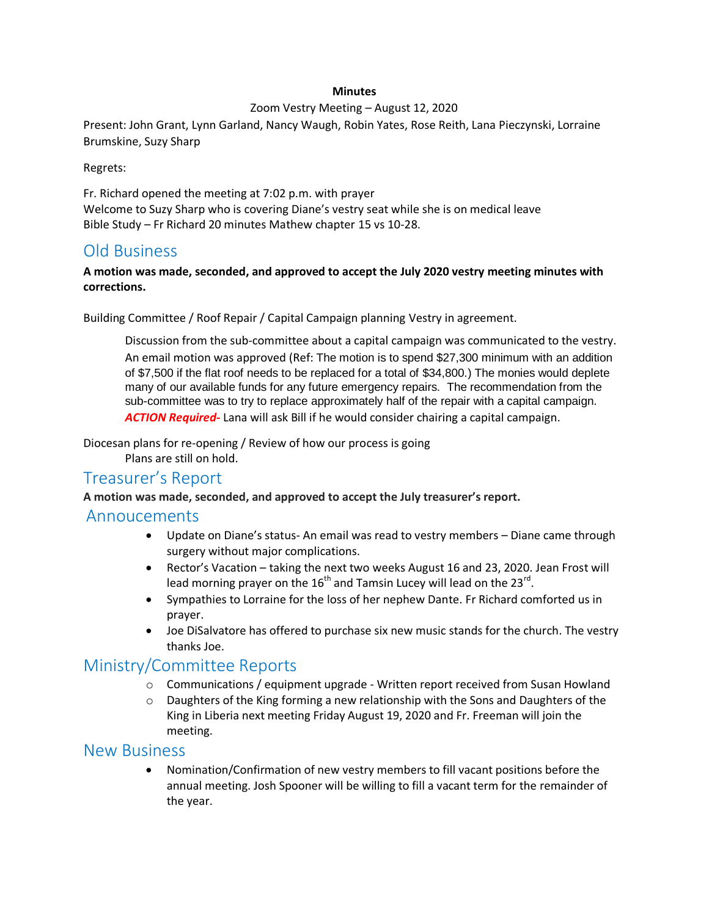#### **Minutes**

#### Zoom Vestry Meeting – August 12, 2020

Present: John Grant, Lynn Garland, Nancy Waugh, Robin Yates, Rose Reith, Lana Pieczynski, Lorraine Brumskine, Suzy Sharp

Regrets:

Fr. Richard opened the meeting at 7:02 p.m. with prayer Welcome to Suzy Sharp who is covering Diane's vestry seat while she is on medical leave Bible Study – Fr Richard 20 minutes Mathew chapter 15 vs 10-28.

## Old Business

#### **A motion was made, seconded, and approved to accept the July 2020 vestry meeting minutes with corrections.**

Building Committee / Roof Repair / Capital Campaign planning Vestry in agreement.

Discussion from the sub-committee about a capital campaign was communicated to the vestry. An email motion was approved (Ref: The motion is to spend \$27,300 minimum with an addition of \$7,500 if the flat roof needs to be replaced for a total of \$34,800.) The monies would deplete many of our available funds for any future emergency repairs. The recommendation from the sub-committee was to try to replace approximately half of the repair with a capital campaign. *ACTION Required-* Lana will ask Bill if he would consider chairing a capital campaign.

Diocesan plans for re-opening / Review of how our process is going Plans are still on hold.

## Treasurer's Report

**A motion was made, seconded, and approved to accept the July treasurer's report.**

### Annoucements

- Update on Diane's status- An email was read to vestry members Diane came through surgery without major complications.
- Rector's Vacation taking the next two weeks August 16 and 23, 2020. Jean Frost will lead morning prayer on the 16<sup>th</sup> and Tamsin Lucey will lead on the 23<sup>rd</sup>.
- Sympathies to Lorraine for the loss of her nephew Dante. Fr Richard comforted us in prayer.
- Joe DiSalvatore has offered to purchase six new music stands for the church. The vestry thanks Joe.

# Ministry/Committee Reports

- o Communications / equipment upgrade Written report received from Susan Howland
- o Daughters of the King forming a new relationship with the Sons and Daughters of the King in Liberia next meeting Friday August 19, 2020 and Fr. Freeman will join the meeting.

#### New Business

 Nomination/Confirmation of new vestry members to fill vacant positions before the annual meeting. Josh Spooner will be willing to fill a vacant term for the remainder of the year.